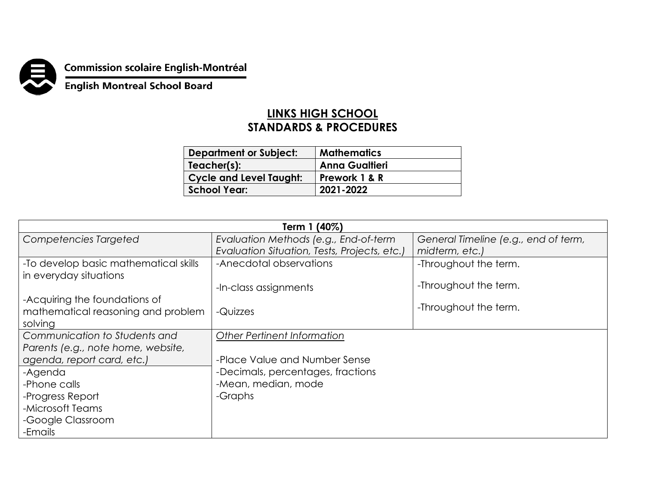

**Commission scolaire English-Montréal<br>English Montreal School Board** 

## **LINKS HIGH SCHOOL STANDARDS & PROCEDURES**

| <b>Department or Subject:</b>  | <b>Mathematics</b>    |
|--------------------------------|-----------------------|
| Teacher(s):                    | <b>Anna Gualtieri</b> |
| <b>Cycle and Level Taught:</b> | Prework 1 & R         |
| <b>School Year:</b>            | 2021-2022             |

| Term 1 (40%)                          |                                              |                                      |  |
|---------------------------------------|----------------------------------------------|--------------------------------------|--|
| Competencies Targeted                 | Evaluation Methods (e.g., End-of-term        | General Timeline (e.g., end of term, |  |
|                                       | Evaluation Situation, Tests, Projects, etc.) | midterm, etc.)                       |  |
| -To develop basic mathematical skills | -Anecdotal observations                      | -Throughout the term.                |  |
| in everyday situations                |                                              |                                      |  |
|                                       | -In-class assignments                        | -Throughout the term.                |  |
| -Acquiring the foundations of         |                                              |                                      |  |
| mathematical reasoning and problem    | -Quizzes                                     | -Throughout the term.                |  |
| solving                               |                                              |                                      |  |
| Communication to Students and         | <b>Other Pertinent Information</b>           |                                      |  |
| Parents (e.g., note home, website,    |                                              |                                      |  |
| agenda, report card, etc.)            | -Place Value and Number Sense                |                                      |  |
| -Agenda                               | -Decimals, percentages, fractions            |                                      |  |
| -Phone calls                          | -Mean, median, mode                          |                                      |  |
| -Progress Report                      | -Graphs                                      |                                      |  |
| -Microsoft Teams                      |                                              |                                      |  |
| -Google Classroom                     |                                              |                                      |  |
| -Emails                               |                                              |                                      |  |